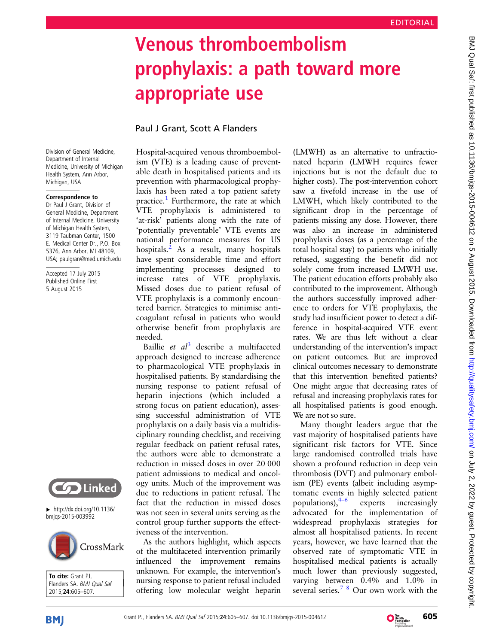# Venous thromboembolism prophylaxis: a path toward more appropriate use

## Paul J Grant, Scott A Flanders

Division of General Medicine, Department of Internal Medicine, University of Michigan Health System, Ann Arbor, Michigan, USA

#### Correspondence to

Dr Paul J Grant, Division of General Medicine, Department of Internal Medicine, University of Michigan Health System, 3119 Taubman Center, 1500 E. Medical Center Dr., P.O. Box 5376, Ann Arbor, MI 48109, USA; paulgran@med.umich.edu

Accepted 17 July 2015 Published Online First 5 August 2015



 $\blacktriangleright$  [http://dx.doi.org/10.1136/](http://dx.doi.org/10.1136/bmjqs-2015-003992) [bmjqs-2015-003992](http://dx.doi.org/10.1136/bmjqs-2015-003992)



To cite: Grant PJ, Flanders SA. BMJ Qual Saf 2015;24:605–607.

Hospital-acquired venous thromboembolism (VTE) is a leading cause of preventable death in hospitalised patients and its prevention with pharmacological prophylaxis has been rated a top patient safety practice.<sup>[1](#page-1-0)</sup> Furthermore, the rate at which VTE prophylaxis is administered to 'at-risk' patients along with the rate of 'potentially preventable' VTE events are national performance measures for US hospitals. $<sup>2</sup>$  $<sup>2</sup>$  $<sup>2</sup>$  As a result, many hospitals</sup> have spent considerable time and effort implementing processes designed to increase rates of VTE prophylaxis. Missed doses due to patient refusal of VTE prophylaxis is a commonly encountered barrier. Strategies to minimise anticoagulant refusal in patients who would otherwise benefit from prophylaxis are needed.

Baillie et  $a^{3}$  $a^{3}$  $a^{3}$  describe a multifaceted approach designed to increase adherence to pharmacological VTE prophylaxis in hospitalised patients. By standardising the nursing response to patient refusal of heparin injections (which included a strong focus on patient education), assessing successful administration of VTE prophylaxis on a daily basis via a multidisciplinary rounding checklist, and receiving regular feedback on patient refusal rates, the authors were able to demonstrate a reduction in missed doses in over 20 000 patient admissions to medical and oncology units. Much of the improvement was due to reductions in patient refusal. The fact that the reduction in missed doses was not seen in several units serving as the control group further supports the effectiveness of the intervention.

As the authors highlight, which aspects of the multifaceted intervention primarily influenced the improvement remains unknown. For example, the intervention's nursing response to patient refusal included offering low molecular weight heparin

(LMWH) as an alternative to unfractionated heparin (LMWH requires fewer injections but is not the default due to higher costs). The post-intervention cohort saw a fivefold increase in the use of LMWH, which likely contributed to the significant drop in the percentage of patients missing any dose. However, there was also an increase in administered prophylaxis doses (as a percentage of the total hospital stay) to patients who initially refused, suggesting the benefit did not solely come from increased LMWH use. The patient education efforts probably also contributed to the improvement. Although the authors successfully improved adherence to orders for VTE prophylaxis, the study had insufficient power to detect a difference in hospital-acquired VTE event rates. We are thus left without a clear understanding of the intervention's impact on patient outcomes. But are improved clinical outcomes necessary to demonstrate that this intervention benefited patients? One might argue that decreasing rates of refusal and increasing prophylaxis rates for all hospitalised patients is good enough. We are not so sure.

Many thought leaders argue that the vast majority of hospitalised patients have significant risk factors for VTE. Since large randomised controlled trials have shown a profound reduction in deep vein thrombosis (DVT) and pulmonary embolism (PE) events (albeit including asymptomatic events in highly selected patient populations),  $4-6$  experts increasingly advocated for the implementation of widespread prophylaxis strategies for almost all hospitalised patients. In recent years, however, we have learned that the observed rate of symptomatic VTE in hospitalised medical patients is actually much lower than previously suggested, varying between 0.4% and 1.0% in several series.<sup>[7](#page-1-0)</sup> <sup>8</sup> Our own work with the

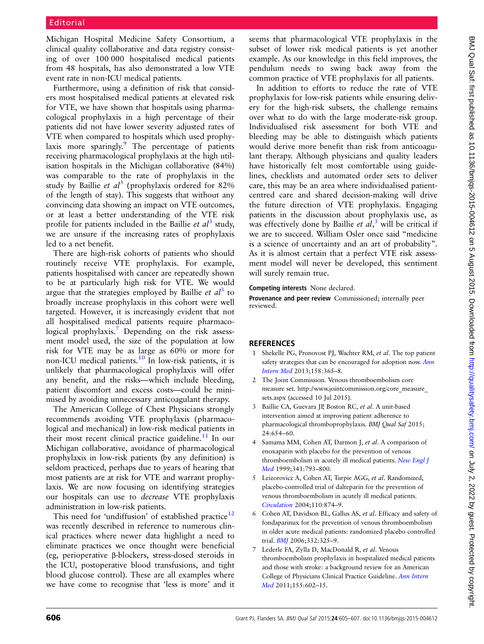<span id="page-1-0"></span>Michigan Hospital Medicine Safety Consortium, a clinical quality collaborative and data registry consisting of over 100 000 hospitalised medical patients from 48 hospitals, has also demonstrated a low VTE event rate in non-ICU medical patients.

Furthermore, using a definition of risk that considers most hospitalised medical patients at elevated risk for VTE, we have shown that hospitals using pharmacological prophylaxis in a high percentage of their patients did not have lower severity adjusted rates of VTE when compared to hospitals which used prophylaxis more sparingly. $9$  The percentage of patients receiving pharmacological prophylaxis at the high utilisation hospitals in the Michigan collaborative (84%) was comparable to the rate of prophylaxis in the study by Baillie et  $al^3$  (prophylaxis ordered for 82% of the length of stay). This suggests that without any convincing data showing an impact on VTE outcomes, or at least a better understanding of the VTE risk profile for patients included in the Baillie *et al*<sup>3</sup> study, we are unsure if the increasing rates of prophylaxis led to a net benefit.

There are high-risk cohorts of patients who should routinely receive VTE prophylaxis. For example, patients hospitalised with cancer are repeatedly shown to be at particularly high risk for VTE. We would argue that the strategies employed by Baillie *et al*<sup>3</sup> to broadly increase prophylaxis in this cohort were well targeted. However, it is increasingly evident that not all hospitalised medical patients require pharmacological prophylaxis.<sup>7</sup> Depending on the risk assessment model used, the size of the population at low risk for VTE may be as large as 60% or more for non-ICU medical patients.[10](#page-2-0) In low-risk patients, it is unlikely that pharmacological prophylaxis will offer any benefit, and the risks—which include bleeding, patient discomfort and excess costs—could be minimised by avoiding unnecessary anticoagulant therapy.

The American College of Chest Physicians strongly recommends avoiding VTE prophylaxis (pharmacological and mechanical) in low-risk medical patients in their most recent clinical practice guideline.<sup>[11](#page-2-0)</sup> In our Michigan collaborative, avoidance of pharmacological prophylaxis in low-risk patients (by any definition) is seldom practiced, perhaps due to years of hearing that most patients are at risk for VTE and warrant prophylaxis. We are now focusing on identifying strategies our hospitals can use to decrease VTE prophylaxis administration in low-risk patients.

This need for 'undiffusion' of established practice<sup>[12](#page-2-0)</sup> was recently described in reference to numerous clinical practices where newer data highlight a need to eliminate practices we once thought were beneficial (eg, perioperative β-blockers, stress-dosed steroids in the ICU, postoperative blood transfusions, and tight blood glucose control). These are all examples where we have come to recognise that 'less is more' and it

seems that pharmacological VTE prophylaxis in the subset of lower risk medical patients is yet another example. As our knowledge in this field improves, the pendulum needs to swing back away from the common practice of VTE prophylaxis for all patients.

In addition to efforts to reduce the rate of VTE prophylaxis for low-risk patients while ensuring delivery for the high-risk subsets, the challenge remains over what to do with the large moderate-risk group. Individualised risk assessment for both VTE and bleeding may be able to distinguish which patients would derive more benefit than risk from anticoagulant therapy. Although physicians and quality leaders have historically felt most comfortable using guidelines, checklists and automated order sets to deliver care, this may be an area where individualised patientcentred care and shared decision-making will drive the future direction of VTE prophylaxis. Engaging patients in the discussion about prophylaxis use, as was effectively done by Baillie et  $al$ ,<sup>3</sup> will be critical if we are to succeed. William Osler once said "medicine is a science of uncertainty and an art of probability". As it is almost certain that a perfect VTE risk assessment model will never be developed, this sentiment will surely remain true.

#### Competing interests None declared.

Provenance and peer review Commissioned; internally peer reviewed.

### **REFERENCES**

- 1 Shekelle PG, Pronovost PJ, Wachter RM, et al. The top patient safety strategies that can be encouraged for adoption now. [Ann](http://dx.doi.org/10.7326/0003-4819-158-5-201303051-00001) [Intern Med](http://dx.doi.org/10.7326/0003-4819-158-5-201303051-00001) 2013;158:365–8.
- 2 The Joint Commission. Venous thromboembolism core measure set. [http://www.jointcommission.org/core\\_measure\\_](http://www.jointcommission.org/core_measure_sets.aspx) [sets.aspx](http://www.jointcommission.org/core_measure_sets.aspx) (accessed 10 Jul 2015).
- Baillie CA, Guevara JP, Boston RC, et al. A unit-based intervention aimed at improving patient adherence to pharmacological thromboprophylaxis. BMJ Qual Saf 2015; 24:654–60.
- Samama MM, Cohen AT, Darmon J, et al. A comparison of enoxaparin with placebo for the prevention of venous thromboembolism in acutely ill medical patients. [New Engl J](http://dx.doi.org/10.1056/NEJM199909093411103) [Med](http://dx.doi.org/10.1056/NEJM199909093411103) 1999;341:793–800.
- 5 Leizorovicz A, Cohen AT, Turpie AGG, et al. Randomized, placebo-controlled trial of dalteparin for the prevention of venous thromboembolism in acutely ill medical patients. [Circulation](http://dx.doi.org/10.1161/01.CIR.0000138928.83266.24) 2004;110:874–9.
- 6 Cohen AT, Davidson BL, Gallus AS, et al. Efficacy and safety of fondaparinux for the prevention of venous thromboembolism in older acute medical patients: randomized placebo controlled trial. [BMJ](http://dx.doi.org/10.1136/bmj.38733.466748.7C) 2006;332:325–9.
- 7 Lederle FA, Zylla D, MacDonald R, et al. Venous thromboembolism prophylaxis in hospitalized medical patients and those with stroke: a background review for an American College of Physicians Clinical Practice Guideline. [Ann Intern](http://dx.doi.org/10.7326/0003-4819-155-9-201111010-00008) [Med](http://dx.doi.org/10.7326/0003-4819-155-9-201111010-00008) 2011;155:602–15.